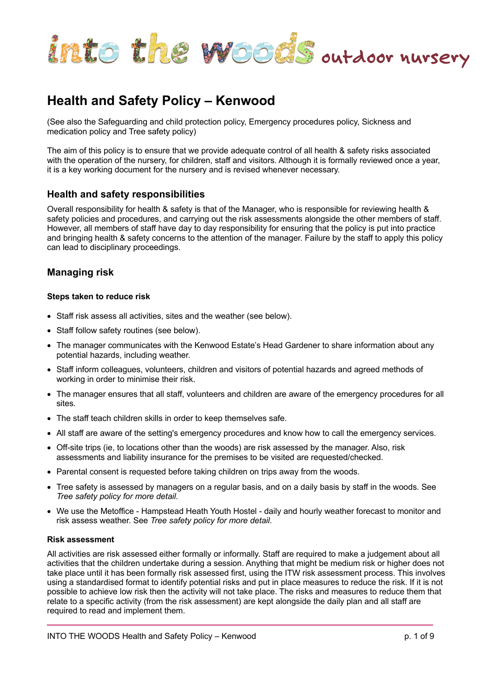

# **Health and Safety Policy – Kenwood**

(See also the Safeguarding and child protection policy, Emergency procedures policy, Sickness and medication policy and Tree safety policy)

The aim of this policy is to ensure that we provide adequate control of all health & safety risks associated with the operation of the nursery, for children, staff and visitors. Although it is formally reviewed once a year, it is a key working document for the nursery and is revised whenever necessary.

# **Health and safety responsibilities**

Overall responsibility for health & safety is that of the Manager, who is responsible for reviewing health & safety policies and procedures, and carrying out the risk assessments alongside the other members of staff. However, all members of staff have day to day responsibility for ensuring that the policy is put into practice and bringing health & safety concerns to the attention of the manager. Failure by the staff to apply this policy can lead to disciplinary proceedings.

# **Managing risk**

# **Steps taken to reduce risk**

- Staff risk assess all activities, sites and the weather (see below).
- Staff follow safety routines (see below).
- The manager communicates with the Kenwood Estate's Head Gardener to share information about any potential hazards, including weather.
- Staff inform colleagues, volunteers, children and visitors of potential hazards and agreed methods of working in order to minimise their risk.
- The manager ensures that all staff, volunteers and children are aware of the emergency procedures for all sites.
- The staff teach children skills in order to keep themselves safe.
- All staff are aware of the setting's emergency procedures and know how to call the emergency services.
- Off-site trips (ie, to locations other than the woods) are risk assessed by the manager. Also, risk assessments and liability insurance for the premises to be visited are requested/checked.
- Parental consent is requested before taking children on trips away from the woods.
- Tree safety is assessed by managers on a regular basis, and on a daily basis by staff in the woods. See *Tree safety policy for more detail.*
- We use the Metoffice Hampstead Heath Youth Hostel daily and hourly weather forecast to monitor and risk assess weather. See *Tree safety policy for more detail.*

# **Risk assessment**

All activities are risk assessed either formally or informally. Staff are required to make a judgement about all activities that the children undertake during a session. Anything that might be medium risk or higher does not take place until it has been formally risk assessed first, using the ITW risk assessment process. This involves using a standardised format to identify potential risks and put in place measures to reduce the risk. If it is not possible to achieve low risk then the activity will not take place. The risks and measures to reduce them that relate to a specific activity (from the risk assessment) are kept alongside the daily plan and all staff are required to read and implement them.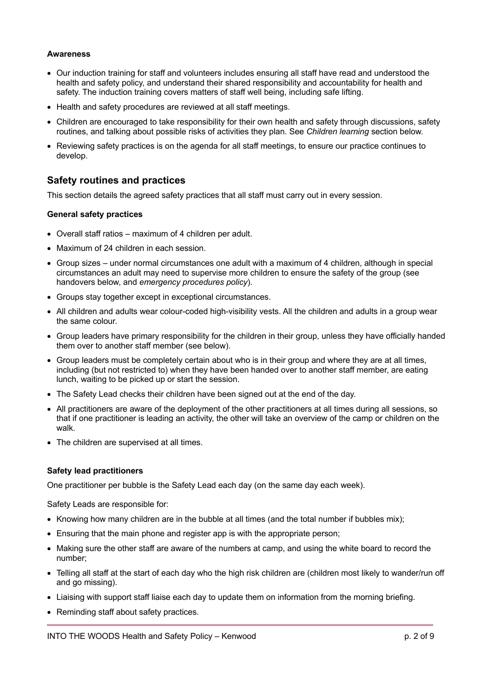#### **Awareness**

- Our induction training for staff and volunteers includes ensuring all staff have read and understood the health and safety policy, and understand their shared responsibility and accountability for health and safety. The induction training covers matters of staff well being, including safe lifting.
- Health and safety procedures are reviewed at all staff meetings.
- Children are encouraged to take responsibility for their own health and safety through discussions, safety routines, and talking about possible risks of activities they plan. See *Children learning* section below.
- Reviewing safety practices is on the agenda for all staff meetings, to ensure our practice continues to develop.

# **Safety routines and practices**

This section details the agreed safety practices that all staff must carry out in every session.

#### **General safety practices**

- Overall staff ratios maximum of 4 children per adult.
- Maximum of 24 children in each session.
- Group sizes under normal circumstances one adult with a maximum of 4 children, although in special circumstances an adult may need to supervise more children to ensure the safety of the group (see handovers below, and *emergency procedures policy*).
- Groups stay together except in exceptional circumstances.
- All children and adults wear colour-coded high-visibility vests. All the children and adults in a group wear the same colour.
- Group leaders have primary responsibility for the children in their group, unless they have officially handed them over to another staff member (see below).
- Group leaders must be completely certain about who is in their group and where they are at all times, including (but not restricted to) when they have been handed over to another staff member, are eating lunch, waiting to be picked up or start the session.
- The Safety Lead checks their children have been signed out at the end of the day.
- All practitioners are aware of the deployment of the other practitioners at all times during all sessions, so that if one practitioner is leading an activity, the other will take an overview of the camp or children on the walk.
- The children are supervised at all times.

# **Safety lead practitioners**

One practitioner per bubble is the Safety Lead each day (on the same day each week).

Safety Leads are responsible for:

- Knowing how many children are in the bubble at all times (and the total number if bubbles mix);
- Ensuring that the main phone and register app is with the appropriate person;
- Making sure the other staff are aware of the numbers at camp, and using the white board to record the number;
- Telling all staff at the start of each day who the high risk children are (children most likely to wander/run off and go missing).
- Liaising with support staff liaise each day to update them on information from the morning briefing.
- Reminding staff about safety practices.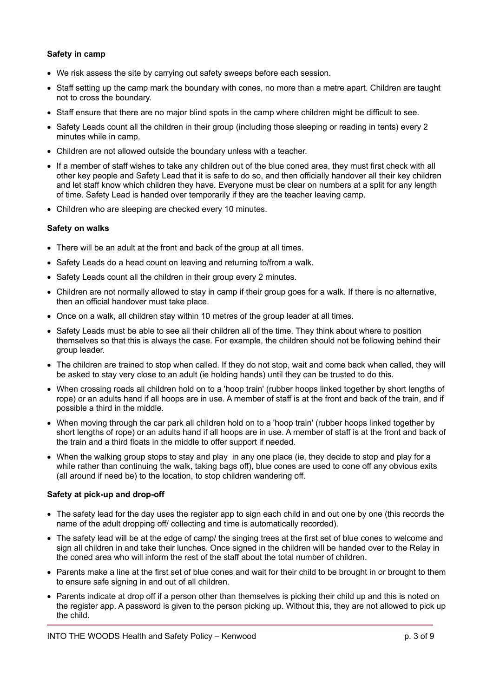# **Safety in camp**

- We risk assess the site by carrying out safety sweeps before each session.
- Staff setting up the camp mark the boundary with cones, no more than a metre apart. Children are taught not to cross the boundary.
- Staff ensure that there are no major blind spots in the camp where children might be difficult to see.
- Safety Leads count all the children in their group (including those sleeping or reading in tents) every 2 minutes while in camp.
- Children are not allowed outside the boundary unless with a teacher.
- If a member of staff wishes to take any children out of the blue coned area, they must first check with all other key people and Safety Lead that it is safe to do so, and then officially handover all their key children and let staff know which children they have. Everyone must be clear on numbers at a split for any length of time. Safety Lead is handed over temporarily if they are the teacher leaving camp.
- Children who are sleeping are checked every 10 minutes.

#### **Safety on walks**

- There will be an adult at the front and back of the group at all times.
- Safety Leads do a head count on leaving and returning to/from a walk.
- Safety Leads count all the children in their group every 2 minutes.
- Children are not normally allowed to stay in camp if their group goes for a walk. If there is no alternative, then an official handover must take place.
- Once on a walk, all children stay within 10 metres of the group leader at all times.
- Safety Leads must be able to see all their children all of the time. They think about where to position themselves so that this is always the case. For example, the children should not be following behind their group leader.
- The children are trained to stop when called. If they do not stop, wait and come back when called, they will be asked to stay very close to an adult (ie holding hands) until they can be trusted to do this.
- When crossing roads all children hold on to a 'hoop train' (rubber hoops linked together by short lengths of rope) or an adults hand if all hoops are in use. A member of staff is at the front and back of the train, and if possible a third in the middle.
- When moving through the car park all children hold on to a 'hoop train' (rubber hoops linked together by short lengths of rope) or an adults hand if all hoops are in use. A member of staff is at the front and back of the train and a third floats in the middle to offer support if needed.
- When the walking group stops to stay and play in any one place (ie, they decide to stop and play for a while rather than continuing the walk, taking bags off), blue cones are used to cone off any obvious exits (all around if need be) to the location, to stop children wandering off.

# **Safety at pick-up and drop-off**

- The safety lead for the day uses the register app to sign each child in and out one by one (this records the name of the adult dropping off/ collecting and time is automatically recorded).
- The safety lead will be at the edge of camp/ the singing trees at the first set of blue cones to welcome and sign all children in and take their lunches. Once signed in the children will be handed over to the Relay in the coned area who will inform the rest of the staff about the total number of children.
- Parents make a line at the first set of blue cones and wait for their child to be brought in or brought to them to ensure safe signing in and out of all children.
- Parents indicate at drop off if a person other than themselves is picking their child up and this is noted on the register app. A password is given to the person picking up. Without this, they are not allowed to pick up the child.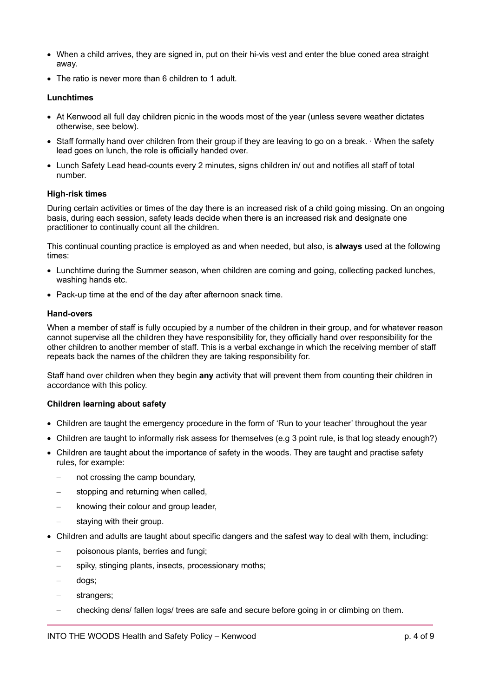- When a child arrives, they are signed in, put on their hi-vis vest and enter the blue coned area straight away.
- The ratio is never more than 6 children to 1 adult.

#### **Lunchtimes**

- At Kenwood all full day children picnic in the woods most of the year (unless severe weather dictates otherwise, see below).
- Staff formally hand over children from their group if they are leaving to go on a break. ∙ When the safety lead goes on lunch, the role is officially handed over.
- Lunch Safety Lead head-counts every 2 minutes, signs children in/ out and notifies all staff of total number.

#### **High-risk times**

During certain activities or times of the day there is an increased risk of a child going missing. On an ongoing basis, during each session, safety leads decide when there is an increased risk and designate one practitioner to continually count all the children.

This continual counting practice is employed as and when needed, but also, is **always** used at the following times:

- Lunchtime during the Summer season, when children are coming and going, collecting packed lunches, washing hands etc.
- Pack-up time at the end of the day after afternoon snack time.

#### **Hand-overs**

When a member of staff is fully occupied by a number of the children in their group, and for whatever reason cannot supervise all the children they have responsibility for, they officially hand over responsibility for the other children to another member of staff. This is a verbal exchange in which the receiving member of staff repeats back the names of the children they are taking responsibility for.

Staff hand over children when they begin **any** activity that will prevent them from counting their children in accordance with this policy.

#### **Children learning about safety**

- Children are taught the emergency procedure in the form of 'Run to your teacher' throughout the year
- Children are taught to informally risk assess for themselves (e.g 3 point rule, is that log steady enough?)
- Children are taught about the importance of safety in the woods. They are taught and practise safety rules, for example:
	- not crossing the camp boundary.
	- stopping and returning when called,
	- knowing their colour and group leader,
	- staying with their group.
- Children and adults are taught about specific dangers and the safest way to deal with them, including:
	- poisonous plants, berries and fungi;
	- spiky, stinging plants, insects, processionary moths;
	- dogs;
	- strangers;
	- checking dens/ fallen logs/ trees are safe and secure before going in or climbing on them.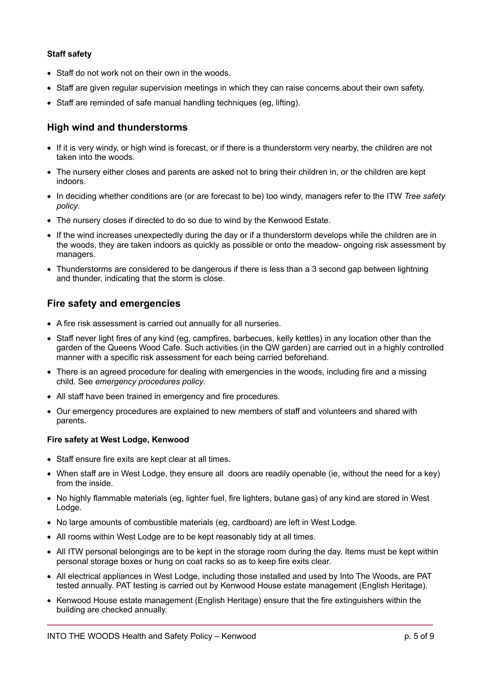# **Staff safety**

- Staff do not work not on their own in the woods.
- Staff are given regular supervision meetings in which they can raise concerns about their own safety.
- Staff are reminded of safe manual handling techniques (eg, lifting).

# **High wind and thunderstorms**

- If it is very windy, or high wind is forecast, or if there is a thunderstorm very nearby, the children are not taken into the woods.
- The nursery either closes and parents are asked not to bring their children in, or the children are kept indoors.
- In deciding whether conditions are (or are forecast to be) too windy, managers refer to the ITW *Tree safety policy*.
- The nursery closes if directed to do so due to wind by the Kenwood Estate.
- If the wind increases unexpectedly during the day or if a thunderstorm develops while the children are in the woods, they are taken indoors as quickly as possible or onto the meadow- ongoing risk assessment by managers.
- Thunderstorms are considered to be dangerous if there is less than a 3 second gap between lightning and thunder, indicating that the storm is close.

# **Fire safety and emergencies**

- A fire risk assessment is carried out annually for all nurseries.
- Staff never light fires of any kind (eg, campfires, barbecues, kelly kettles) in any location other than the garden of the Queens Wood Cafe. Such activities (in the QW garden) are carried out in a highly controlled manner with a specific risk assessment for each being carried beforehand.
- There is an agreed procedure for dealing with emergencies in the woods, including fire and a missing child. See *emergency procedures policy*.
- All staff have been trained in emergency and fire procedures.
- Our emergency procedures are explained to new members of staff and volunteers and shared with parents.

# **Fire safety at West Lodge, Kenwood**

- Staff ensure fire exits are kept clear at all times.
- When staff are in West Lodge, they ensure all doors are readily openable (ie, without the need for a key) from the inside.
- No highly flammable materials (eg, lighter fuel, fire lighters, butane gas) of any kind are stored in West Lodge.
- No large amounts of combustible materials (eg, cardboard) are left in West Lodge.
- All rooms within West Lodge are to be kept reasonably tidy at all times.
- All ITW personal belongings are to be kept in the storage room during the day. Items must be kept within personal storage boxes or hung on coat racks so as to keep fire exits clear.
- All electrical appliances in West Lodge, including those installed and used by Into The Woods, are PAT tested annually. PAT testing is carried out by Kenwood House estate management (English Heritage).
- Kenwood House estate management (English Heritage) ensure that the fire extinguishers within the building are checked annually.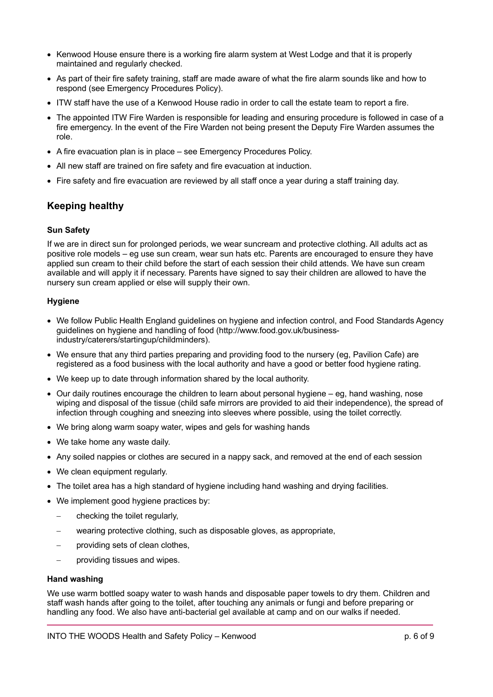- Kenwood House ensure there is a working fire alarm system at West Lodge and that it is properly maintained and regularly checked.
- As part of their fire safety training, staff are made aware of what the fire alarm sounds like and how to respond (see Emergency Procedures Policy).
- ITW staff have the use of a Kenwood House radio in order to call the estate team to report a fire.
- The appointed ITW Fire Warden is responsible for leading and ensuring procedure is followed in case of a fire emergency. In the event of the Fire Warden not being present the Deputy Fire Warden assumes the role.
- A fire evacuation plan is in place see Emergency Procedures Policy.
- All new staff are trained on fire safety and fire evacuation at induction.
- Fire safety and fire evacuation are reviewed by all staff once a year during a staff training day.

# **Keeping healthy**

#### **Sun Safety**

If we are in direct sun for prolonged periods, we wear suncream and protective clothing. All adults act as positive role models – eg use sun cream, wear sun hats etc. Parents are encouraged to ensure they have applied sun cream to their child before the start of each session their child attends. We have sun cream available and will apply it if necessary. Parents have signed to say their children are allowed to have the nursery sun cream applied or else will supply their own.

#### **Hygiene**

- We follow Public Health England guidelines on hygiene and infection control, and Food Standards Agency guidelines on hygiene and handling of food (http://www.food.gov.uk/businessindustry/caterers/startingup/childminders).
- We ensure that any third parties preparing and providing food to the nursery (eg, Pavilion Cafe) are registered as a food business with the local authority and have a good or better food hygiene rating.
- We keep up to date through information shared by the local authority.
- Our daily routines encourage the children to learn about personal hygiene eg, hand washing, nose wiping and disposal of the tissue (child safe mirrors are provided to aid their independence), the spread of infection through coughing and sneezing into sleeves where possible, using the toilet correctly.
- We bring along warm soapy water, wipes and gels for washing hands
- We take home any waste daily.
- Any soiled nappies or clothes are secured in a nappy sack, and removed at the end of each session
- We clean equipment requiarly.
- The toilet area has a high standard of hygiene including hand washing and drying facilities.
- We implement good hygiene practices by:
	- checking the toilet regularly,
	- wearing protective clothing, such as disposable gloves, as appropriate,
	- providing sets of clean clothes,
	- providing tissues and wipes.

#### **Hand washing**

We use warm bottled soapy water to wash hands and disposable paper towels to dry them. Children and staff wash hands after going to the toilet, after touching any animals or fungi and before preparing or handling any food. We also have anti-bacterial gel available at camp and on our walks if needed.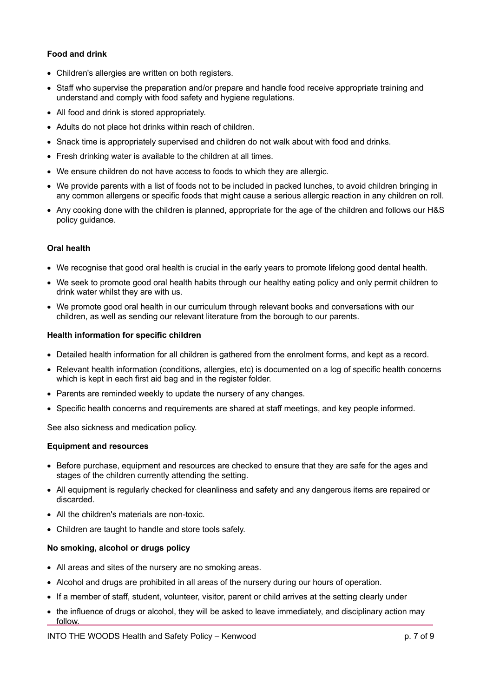# **Food and drink**

- Children's allergies are written on both registers.
- Staff who supervise the preparation and/or prepare and handle food receive appropriate training and understand and comply with food safety and hygiene regulations.
- All food and drink is stored appropriately.
- Adults do not place hot drinks within reach of children.
- Snack time is appropriately supervised and children do not walk about with food and drinks.
- Fresh drinking water is available to the children at all times.
- We ensure children do not have access to foods to which they are allergic.
- We provide parents with a list of foods not to be included in packed lunches, to avoid children bringing in any common allergens or specific foods that might cause a serious allergic reaction in any children on roll.
- Any cooking done with the children is planned, appropriate for the age of the children and follows our H&S policy guidance.

# **Oral health**

- We recognise that good oral health is crucial in the early years to promote lifelong good dental health.
- We seek to promote good oral health habits through our healthy eating policy and only permit children to drink water whilst they are with us.
- We promote good oral health in our curriculum through relevant books and conversations with our children, as well as sending our relevant literature from the borough to our parents.

# **Health information for specific children**

- Detailed health information for all children is gathered from the enrolment forms, and kept as a record.
- Relevant health information (conditions, allergies, etc) is documented on a log of specific health concerns which is kept in each first aid bag and in the register folder.
- Parents are reminded weekly to update the nursery of any changes.
- Specific health concerns and requirements are shared at staff meetings, and key people informed.

See also sickness and medication policy.

# **Equipment and resources**

- Before purchase, equipment and resources are checked to ensure that they are safe for the ages and stages of the children currently attending the setting.
- All equipment is regularly checked for cleanliness and safety and any dangerous items are repaired or discarded.
- All the children's materials are non-toxic.
- Children are taught to handle and store tools safely.

# **No smoking, alcohol or drugs policy**

- All areas and sites of the nursery are no smoking areas.
- Alcohol and drugs are prohibited in all areas of the nursery during our hours of operation.
- If a member of staff, student, volunteer, visitor, parent or child arrives at the setting clearly under
- the influence of drugs or alcohol, they will be asked to leave immediately, and disciplinary action may follow.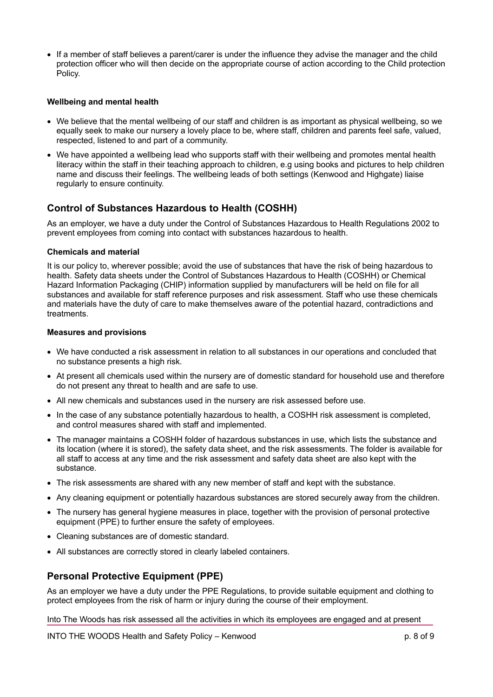• If a member of staff believes a parent/carer is under the influence they advise the manager and the child protection officer who will then decide on the appropriate course of action according to the Child protection Policy.

#### **Wellbeing and mental health**

- We believe that the mental wellbeing of our staff and children is as important as physical wellbeing, so we equally seek to make our nursery a lovely place to be, where staff, children and parents feel safe, valued, respected, listened to and part of a community.
- We have appointed a wellbeing lead who supports staff with their wellbeing and promotes mental health literacy within the staff in their teaching approach to children, e.g using books and pictures to help children name and discuss their feelings. The wellbeing leads of both settings (Kenwood and Highgate) liaise regularly to ensure continuity.

# **Control of Substances Hazardous to Health (COSHH)**

As an employer, we have a duty under the Control of Substances Hazardous to Health Regulations 2002 to prevent employees from coming into contact with substances hazardous to health.

# **Chemicals and material**

It is our policy to, wherever possible; avoid the use of substances that have the risk of being hazardous to health. Safety data sheets under the Control of Substances Hazardous to Health (COSHH) or Chemical Hazard Information Packaging (CHIP) information supplied by manufacturers will be held on file for all substances and available for staff reference purposes and risk assessment. Staff who use these chemicals and materials have the duty of care to make themselves aware of the potential hazard, contradictions and treatments.

#### **Measures and provisions**

- We have conducted a risk assessment in relation to all substances in our operations and concluded that no substance presents a high risk.
- At present all chemicals used within the nursery are of domestic standard for household use and therefore do not present any threat to health and are safe to use.
- All new chemicals and substances used in the nursery are risk assessed before use.
- In the case of any substance potentially hazardous to health, a COSHH risk assessment is completed, and control measures shared with staff and implemented.
- The manager maintains a COSHH folder of hazardous substances in use, which lists the substance and its location (where it is stored), the safety data sheet, and the risk assessments. The folder is available for all staff to access at any time and the risk assessment and safety data sheet are also kept with the substance.
- The risk assessments are shared with any new member of staff and kept with the substance.
- Any cleaning equipment or potentially hazardous substances are stored securely away from the children.
- The nursery has general hygiene measures in place, together with the provision of personal protective equipment (PPE) to further ensure the safety of employees.
- Cleaning substances are of domestic standard.
- All substances are correctly stored in clearly labeled containers.

# **Personal Protective Equipment (PPE)**

As an employer we have a duty under the PPE Regulations, to provide suitable equipment and clothing to protect employees from the risk of harm or injury during the course of their employment.

Into The Woods has risk assessed all the activities in which its employees are engaged and at present

INTO THE WOODS Health and Safety Policy – Kenwood by a p. 8 of 9